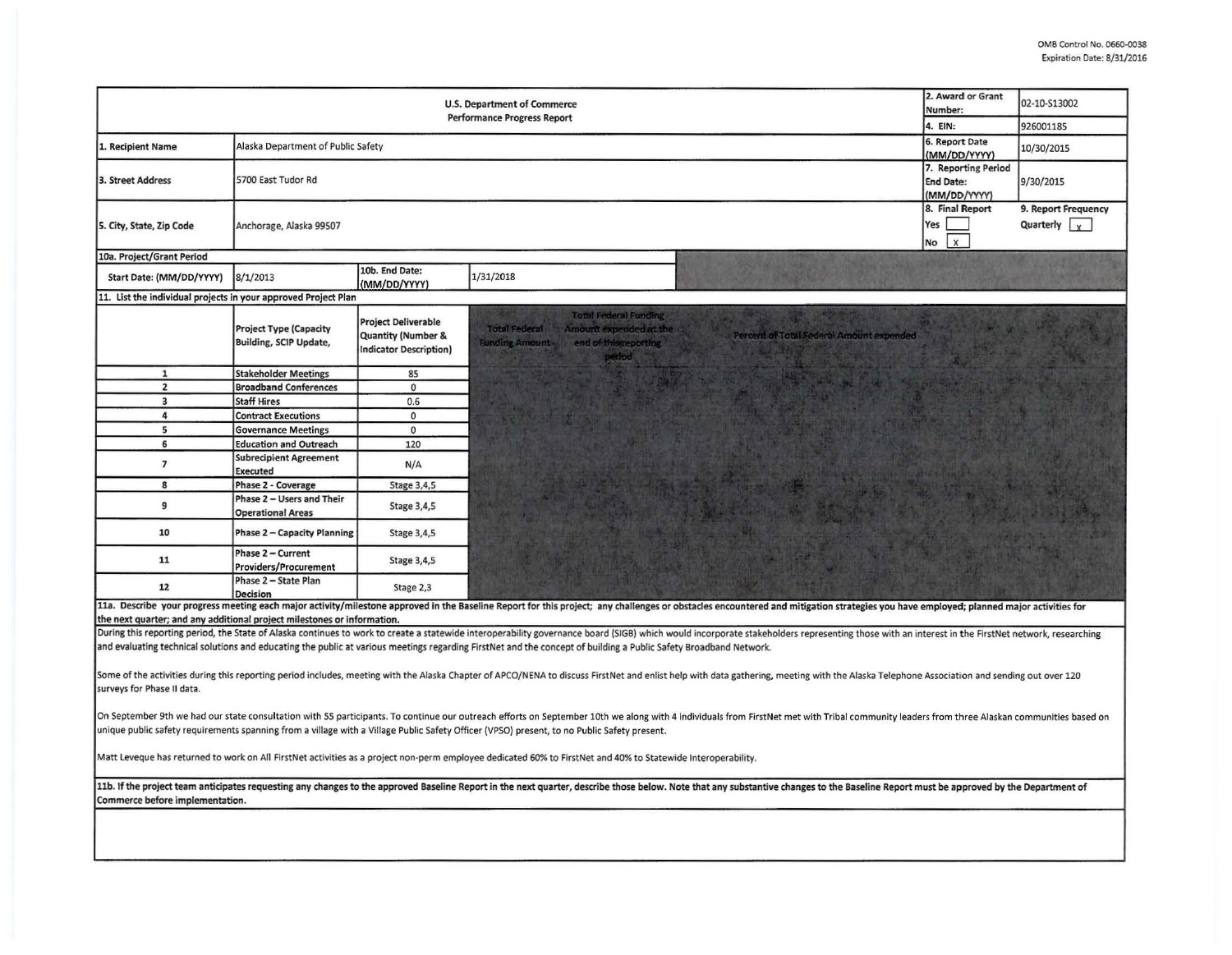| <b>U.S. Department of Commerce</b><br><b>Performance Progress Report</b>                                                                                                                                                                                                                                                                                                                            |                                                                |                                                                                              |                                                                                                                                                                                                                                |                                              | 02-10-S13002<br>926001185                                 |  |  |  |
|-----------------------------------------------------------------------------------------------------------------------------------------------------------------------------------------------------------------------------------------------------------------------------------------------------------------------------------------------------------------------------------------------------|----------------------------------------------------------------|----------------------------------------------------------------------------------------------|--------------------------------------------------------------------------------------------------------------------------------------------------------------------------------------------------------------------------------|----------------------------------------------|-----------------------------------------------------------|--|--|--|
| 1. Recipient Name                                                                                                                                                                                                                                                                                                                                                                                   | Alaska Department of Public Safety                             | 4. EIN:<br>6. Report Date<br>(MM/DD/YYYY)                                                    | 10/30/2015                                                                                                                                                                                                                     |                                              |                                                           |  |  |  |
| 3. Street Address                                                                                                                                                                                                                                                                                                                                                                                   | 5700 East Tudor Rd                                             | 7. Reporting Period<br><b>End Date:</b><br>(MM/DD/YYYY)                                      | 9/30/2015                                                                                                                                                                                                                      |                                              |                                                           |  |  |  |
| 5. City, State, Zip Code                                                                                                                                                                                                                                                                                                                                                                            | Anchorage, Alaska 99507                                        |                                                                                              |                                                                                                                                                                                                                                | 8. Final Report<br>Yes<br>$\mathbf{x}$<br>No | 9. Report Frequency<br>Quarterly $\vert \mathbf{v} \vert$ |  |  |  |
| 10a. Project/Grant Period                                                                                                                                                                                                                                                                                                                                                                           |                                                                |                                                                                              |                                                                                                                                                                                                                                |                                              |                                                           |  |  |  |
| Start Date: (MM/DD/YYYY)                                                                                                                                                                                                                                                                                                                                                                            | 8/1/2013                                                       | 10b. End Date:<br>(MM/DD/YYYY)                                                               | 1/31/2018                                                                                                                                                                                                                      |                                              |                                                           |  |  |  |
| 11. List the individual projects in your approved Project Plan                                                                                                                                                                                                                                                                                                                                      |                                                                |                                                                                              |                                                                                                                                                                                                                                |                                              |                                                           |  |  |  |
|                                                                                                                                                                                                                                                                                                                                                                                                     | <b>Project Type (Capacity</b><br><b>Building, SCIP Update,</b> | <b>Project Deliverable</b><br><b>Quantity (Number &amp;</b><br><b>Indicator Description)</b> | <b>Total Federal Funding</b><br><b>Total Federal</b><br>Amount expended at the<br>Percent of Total Federal Amount expended<br><b>Funding Amount</b><br>end of this reporting<br>period                                         |                                              |                                                           |  |  |  |
| $\mathbf{1}$                                                                                                                                                                                                                                                                                                                                                                                        | <b>Stakeholder Meetings</b>                                    | 85                                                                                           |                                                                                                                                                                                                                                |                                              |                                                           |  |  |  |
| $\overline{2}$                                                                                                                                                                                                                                                                                                                                                                                      | <b>Broadband Conferences</b>                                   | $\mathbf 0$                                                                                  |                                                                                                                                                                                                                                |                                              |                                                           |  |  |  |
| $\overline{\mathbf{3}}$                                                                                                                                                                                                                                                                                                                                                                             | <b>Staff Hires</b>                                             | 0.6                                                                                          |                                                                                                                                                                                                                                |                                              |                                                           |  |  |  |
| $\overline{a}$                                                                                                                                                                                                                                                                                                                                                                                      | <b>Contract Executions</b>                                     | $\mathbf{0}$                                                                                 |                                                                                                                                                                                                                                |                                              |                                                           |  |  |  |
| 5                                                                                                                                                                                                                                                                                                                                                                                                   | <b>Governance Meetings</b>                                     | $\mathbf 0$                                                                                  |                                                                                                                                                                                                                                |                                              |                                                           |  |  |  |
| 6                                                                                                                                                                                                                                                                                                                                                                                                   | <b>Education and Outreach</b>                                  | 120                                                                                          |                                                                                                                                                                                                                                |                                              |                                                           |  |  |  |
| $\overline{7}$                                                                                                                                                                                                                                                                                                                                                                                      | <b>Subrecipient Agreement</b><br>Executed                      | N/A                                                                                          |                                                                                                                                                                                                                                |                                              |                                                           |  |  |  |
| 8                                                                                                                                                                                                                                                                                                                                                                                                   | Phase 2 - Coverage                                             | Stage 3,4,5                                                                                  |                                                                                                                                                                                                                                |                                              |                                                           |  |  |  |
| 9                                                                                                                                                                                                                                                                                                                                                                                                   | Phase 2 - Users and Their<br><b>Operational Areas</b>          | Stage 3,4,5                                                                                  |                                                                                                                                                                                                                                |                                              |                                                           |  |  |  |
| 10                                                                                                                                                                                                                                                                                                                                                                                                  | <b>Phase 2 - Capacity Planning</b>                             | Stage 3,4,5                                                                                  |                                                                                                                                                                                                                                |                                              |                                                           |  |  |  |
| 11                                                                                                                                                                                                                                                                                                                                                                                                  | Phase 2 - Current<br><b>Providers/Procurement</b>              | Stage 3,4,5                                                                                  |                                                                                                                                                                                                                                |                                              |                                                           |  |  |  |
| 12                                                                                                                                                                                                                                                                                                                                                                                                  | Phase 2 - State Plan<br><b>Decision</b>                        | Stage 2,3                                                                                    |                                                                                                                                                                                                                                |                                              |                                                           |  |  |  |
|                                                                                                                                                                                                                                                                                                                                                                                                     |                                                                |                                                                                              | 11a. Describe your progress meeting each major activity/milestone approved in the Baseline Report for this project; any challenges or obstacles encountered and mitigation strategies you have employed; planned major activit |                                              |                                                           |  |  |  |
| the next quarter; and any additional project milestones or information.                                                                                                                                                                                                                                                                                                                             |                                                                |                                                                                              |                                                                                                                                                                                                                                |                                              |                                                           |  |  |  |
| During this reporting period, the State of Alaska continues to work to create a statewide interoperability governance board (SIGB) which would incorporate stakeholders representing those with an interest in the FirstNet ne<br>and evaluating technical solutions and educating the public at various meetings regarding FirstNet and the concept of building a Public Safety Broadband Network. |                                                                |                                                                                              |                                                                                                                                                                                                                                |                                              |                                                           |  |  |  |
| Some of the activities during this reporting period includes, meeting with the Alaska Chapter of APCO/NENA to discuss FirstNet and enlist help with data gathering, meeting with the Alaska Telephone Association and sending<br>surveys for Phase II data.                                                                                                                                         |                                                                |                                                                                              |                                                                                                                                                                                                                                |                                              |                                                           |  |  |  |
| On September 9th we had our state consultation with 55 participants. To continue our outreach efforts on September 10th we along with 4 individuals from FirstNet met with Tribal community leaders from three Alaskan communi<br>unique public safety requirements spanning from a village with a Village Public Safety Officer (VPSO) present, to no Public Safety present.                       |                                                                |                                                                                              |                                                                                                                                                                                                                                |                                              |                                                           |  |  |  |
| Matt Leveque has returned to work on All FirstNet activities as a project non-perm employee dedicated 60% to FirstNet and 40% to Statewide Interoperability.                                                                                                                                                                                                                                        |                                                                |                                                                                              |                                                                                                                                                                                                                                |                                              |                                                           |  |  |  |
| 11b. If the project team anticipates requesting any changes to the approved Baseline Report in the next quarter, describe those below. Note that any substantive changes to the Baseline Report must be approved by the Depart<br>Commerce before implementation.                                                                                                                                   |                                                                |                                                                                              |                                                                                                                                                                                                                                |                                              |                                                           |  |  |  |
|                                                                                                                                                                                                                                                                                                                                                                                                     |                                                                |                                                                                              |                                                                                                                                                                                                                                |                                              |                                                           |  |  |  |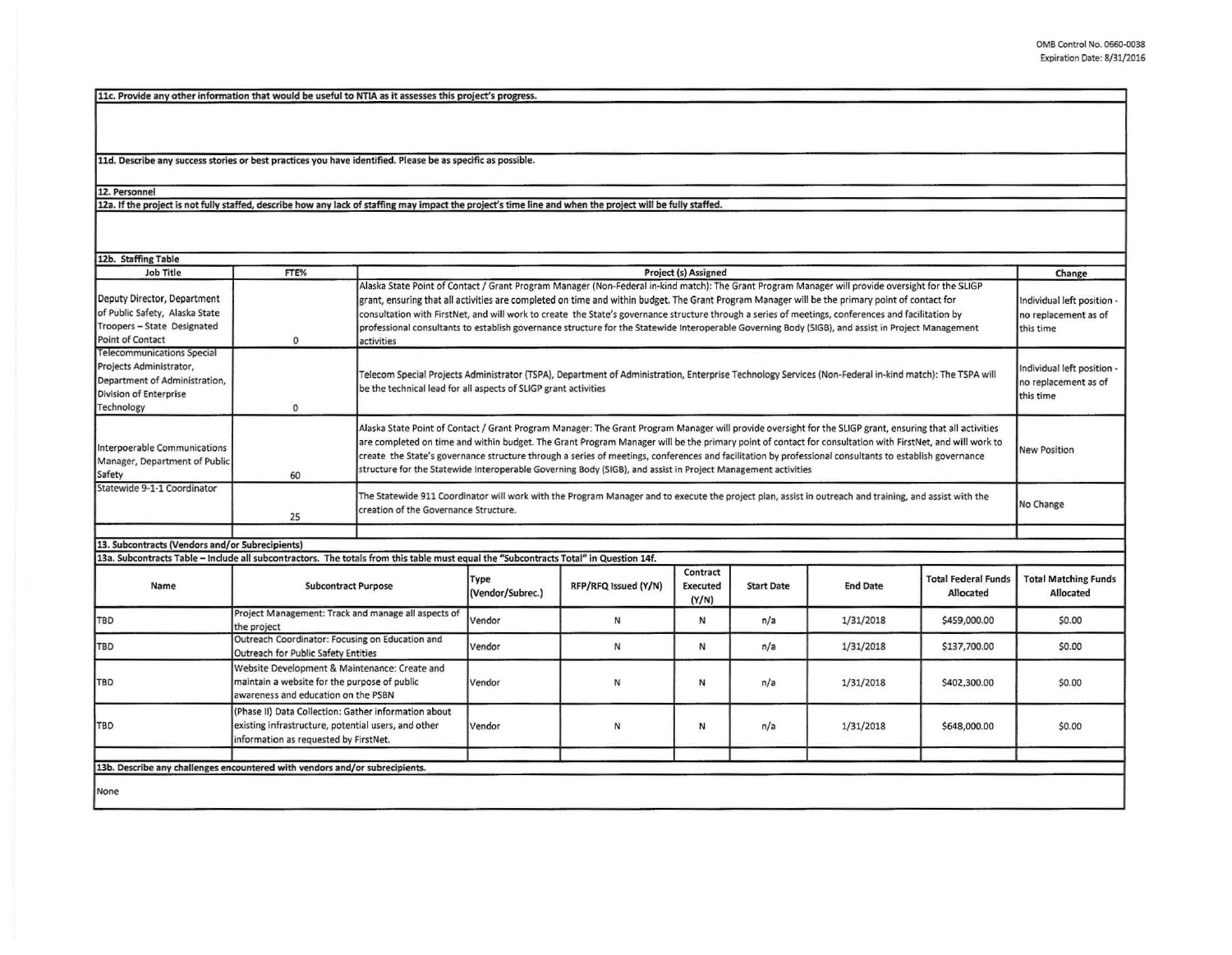11c. Provide any other information that would be useful to NTIA as it assesses this project's progress.

11d. Describe any success stories or best practices you have identified. Please be as specific as possible.

## 12. Personnel

12a. If the project is not fully staffed, describe how any lack of staffing may impact the project's time line and when the project will be fully staffed.

| 12b. Staffing Table                                                                                                                   |                                                                                                                                                      |                                                                                                                                                                                                                                                                                                                                                                                                                                                                                                                                                                                                                                |                          |                      |                               |                   |                 |                                                                 |                                                                 |
|---------------------------------------------------------------------------------------------------------------------------------------|------------------------------------------------------------------------------------------------------------------------------------------------------|--------------------------------------------------------------------------------------------------------------------------------------------------------------------------------------------------------------------------------------------------------------------------------------------------------------------------------------------------------------------------------------------------------------------------------------------------------------------------------------------------------------------------------------------------------------------------------------------------------------------------------|--------------------------|----------------------|-------------------------------|-------------------|-----------------|-----------------------------------------------------------------|-----------------------------------------------------------------|
| <b>Job Title</b>                                                                                                                      | FTE%                                                                                                                                                 | Project (s) Assigned                                                                                                                                                                                                                                                                                                                                                                                                                                                                                                                                                                                                           |                          |                      |                               |                   |                 | Change                                                          |                                                                 |
| Deputy Director, Department<br>of Public Safety, Alaska State<br>Troopers - State Designated<br>Point of Contact                      | $\Omega$                                                                                                                                             | Alaska State Point of Contact / Grant Program Manager (Non-Federal in-kind match): The Grant Program Manager will provide oversight for the SLIGP<br>grant, ensuring that all activities are completed on time and within budget. The Grant Program Manager will be the primary point of contact for<br>consultation with FirstNet, and will work to create the State's governance structure through a series of meetings, conferences and facilitation by<br>professional consultants to establish governance structure for the Statewide Interoperable Governing Body (SIGB), and assist in Project Management<br>activities |                          |                      |                               |                   |                 | Individual left position -<br>no replacement as of<br>this time |                                                                 |
| <b>Telecommunications Special</b><br>Projects Administrator,<br>Department of Administration,<br>Division of Enterprise<br>Technology | $\mathbf{0}$                                                                                                                                         | Telecom Special Projects Administrator (TSPA), Department of Administration, Enterprise Technology Services (Non-Federal in-kind match): The TSPA will<br>be the technical lead for all aspects of SLIGP grant activities                                                                                                                                                                                                                                                                                                                                                                                                      |                          |                      |                               |                   |                 |                                                                 | Individual left position -<br>no replacement as of<br>this time |
| Interpoerable Communications<br>Manager, Department of Public<br>Safety                                                               | 60                                                                                                                                                   | Alaska State Point of Contact / Grant Program Manager: The Grant Program Manager will provide oversight for the SLIGP grant, ensuring that all activities<br>are completed on time and within budget. The Grant Program Manager will be the primary point of contact for consultation with FirstNet, and will work to<br>create the State's governance structure through a series of meetings, conferences and facilitation by professional consultants to establish governance<br>structure for the Statewide Interoperable Governing Body (SIGB), and assist in Project Management activities                                |                          |                      |                               |                   |                 |                                                                 | <b>New Position</b>                                             |
| Statewide 9-1-1 Coordinator                                                                                                           | 25                                                                                                                                                   | The Statewide 911 Coordinator will work with the Program Manager and to execute the project plan, assist in outreach and training, and assist with the<br>creation of the Governance Structure.                                                                                                                                                                                                                                                                                                                                                                                                                                |                          |                      |                               |                   |                 | No Change                                                       |                                                                 |
|                                                                                                                                       |                                                                                                                                                      |                                                                                                                                                                                                                                                                                                                                                                                                                                                                                                                                                                                                                                |                          |                      |                               |                   |                 |                                                                 |                                                                 |
| 13. Subcontracts (Vendors and/or Subrecipients)                                                                                       |                                                                                                                                                      |                                                                                                                                                                                                                                                                                                                                                                                                                                                                                                                                                                                                                                |                          |                      |                               |                   |                 |                                                                 |                                                                 |
| 13a. Subcontracts Table - Include all subcontractors. The totals from this table must equal the "Subcontracts Total" in Question 14f. |                                                                                                                                                      |                                                                                                                                                                                                                                                                                                                                                                                                                                                                                                                                                                                                                                |                          |                      |                               |                   |                 |                                                                 |                                                                 |
| Name                                                                                                                                  | <b>Subcontract Purpose</b>                                                                                                                           |                                                                                                                                                                                                                                                                                                                                                                                                                                                                                                                                                                                                                                | Type<br>(Vendor/Subrec.) | RFP/RFQ Issued (Y/N) | Contract<br>Executed<br>(Y/N) | <b>Start Date</b> | <b>End Date</b> | <b>Total Federal Funds</b><br>Allocated                         | <b>Total Matching Funds</b><br>Allocated                        |
| TBD                                                                                                                                   | Project Management: Track and manage all aspects of<br>the project                                                                                   |                                                                                                                                                                                                                                                                                                                                                                                                                                                                                                                                                                                                                                | Vendor                   | N                    | Ν                             | n/a               | 1/31/2018       | \$459,000.00                                                    | \$0.00                                                          |
| <b>TBD</b>                                                                                                                            | Outreach Coordinator: Focusing on Education and<br>Outreach for Public Safety Entities                                                               |                                                                                                                                                                                                                                                                                                                                                                                                                                                                                                                                                                                                                                | Vendor                   | N                    | N                             | n/a               | 1/31/2018       | \$137,700.00                                                    | \$0.00                                                          |
| TBD                                                                                                                                   | Website Development & Maintenance: Create and<br>maintain a website for the purpose of public<br>awareness and education on the PSBN                 |                                                                                                                                                                                                                                                                                                                                                                                                                                                                                                                                                                                                                                | Vendor                   | N                    | N                             | n/a               | 1/31/2018       | \$402,300.00                                                    | \$0.00                                                          |
| <b>TBD</b>                                                                                                                            | (Phase II) Data Collection: Gather information about<br>existing infrastructure, potential users, and other<br>information as requested by FirstNet. |                                                                                                                                                                                                                                                                                                                                                                                                                                                                                                                                                                                                                                | Vendor                   | N                    | N                             | n/a               | 1/31/2018       | \$648,000.00                                                    | \$0.00                                                          |
|                                                                                                                                       |                                                                                                                                                      |                                                                                                                                                                                                                                                                                                                                                                                                                                                                                                                                                                                                                                |                          |                      |                               |                   |                 |                                                                 |                                                                 |
| 13b. Describe any challenges encountered with vendors and/or subrecipients.                                                           |                                                                                                                                                      |                                                                                                                                                                                                                                                                                                                                                                                                                                                                                                                                                                                                                                |                          |                      |                               |                   |                 |                                                                 |                                                                 |
| None                                                                                                                                  |                                                                                                                                                      |                                                                                                                                                                                                                                                                                                                                                                                                                                                                                                                                                                                                                                |                          |                      |                               |                   |                 |                                                                 |                                                                 |